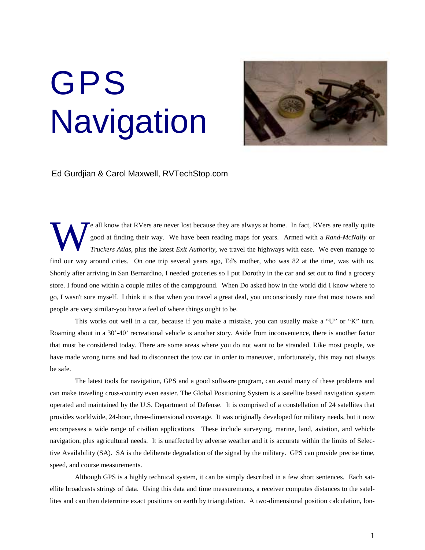## GPS **Navigation**



Ed Gurdjian & Carol Maxwell, RVTechStop.com

e all know that RVers are never lost because they are always at home. In fact, RVers are really quite good at finding their way. We have been reading maps for years. Armed with a *Rand-McNally* or *Truckers Atlas*, plus the latest *Exit Authority*, we travel the highways with ease. We even manage to find our way around cities. On one trip several years ago, Ed's mother, who was 82 at the time, was with us. Shortly after arriving in San Bernardino, I needed groceries so I put Dorothy in the car and set out to find a grocery store. I found one within a couple miles of the campground. When Do asked how in the world did I know where to go, I wasn't sure myself. I think it is that when you travel a great deal, you unconsciously note that most towns and people are very similar-you have a feel of where things ought to be. W

This works out well in a car, because if you make a mistake, you can usually make a "U" or "K" turn. Roaming about in a 30'-40' recreational vehicle is another story. Aside from inconvenience, there is another factor that must be considered today. There are some areas where you do not want to be stranded. Like most people, we have made wrong turns and had to disconnect the tow car in order to maneuver, unfortunately, this may not always be safe.

The latest tools for navigation, GPS and a good software program, can avoid many of these problems and can make traveling cross-country even easier. The Global Positioning System is a satellite based navigation system operated and maintained by the U.S. Department of Defense. It is comprised of a constellation of 24 satellites that provides worldwide, 24-hour, three-dimensional coverage. It was originally developed for military needs, but it now encompasses a wide range of civilian applications. These include surveying, marine, land, aviation, and vehicle navigation, plus agricultural needs. It is unaffected by adverse weather and it is accurate within the limits of Selective Availability (SA). SA is the deliberate degradation of the signal by the military. GPS can provide precise time, speed, and course measurements.

Although GPS is a highly technical system, it can be simply described in a few short sentences. Each satellite broadcasts strings of data. Using this data and time measurements, a receiver computes distances to the satellites and can then determine exact positions on earth by triangulation. A two-dimensional position calculation, lon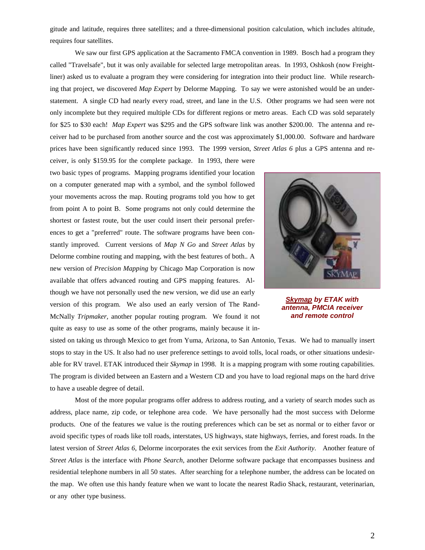gitude and latitude, requires three satellites; and a three-dimensional position calculation, which includes altitude, requires four satellites.

We saw our first GPS application at the Sacramento FMCA convention in 1989. Bosch had a program they called "Travelsafe", but it was only available for selected large metropolitan areas. In 1993, Oshkosh (now Freightliner) asked us to evaluate a program they were considering for integration into their product line. While researching that project, we discovered *Map Expert* by Delorme Mapping. To say we were astonished would be an understatement. A single CD had nearly every road, street, and lane in the U.S. Other programs we had seen were not only incomplete but they required multiple CDs for different regions or metro areas. Each CD was sold separately for \$25 to \$30 each! *Map Expert* was \$295 and the GPS software link was another \$200.00. The antenna and receiver had to be purchased from another source and the cost was approximately \$1,000.00. Software and hardware prices have been significantly reduced since 1993. The 1999 version, *Street Atlas 6* plus a GPS antenna and re-

ceiver, is only \$159.95 for the complete package. In 1993, there were two basic types of programs. Mapping programs identified your location on a computer generated map with a symbol, and the symbol followed your movements across the map. Routing programs told you how to get from point A to point B. Some programs not only could determine the shortest or fastest route, but the user could insert their personal preferences to get a "preferred" route. The software programs have been constantly improved. Current versions of *Map N Go* and *Street Atlas* by Delorme combine routing and mapping, with the best features of both.*.* A new version of *Precision Mapping* by Chicago Map Corporation is now available that offers advanced routing and GPS mapping features. Although we have not personally used the new version, we did use an early version of this program. We also used an early version of The Rand-McNally *Tripmaker,* another popular routing program. We found it not quite as easy to use as some of the other programs, mainly because it in-



*Skymap by ETAK with antenna, PMCIA receiver and remote control*

sisted on taking us through Mexico to get from Yuma, Arizona, to San Antonio, Texas. We had to manually insert stops to stay in the US. It also had no user preference settings to avoid tolls, local roads, or other situations undesirable for RV travel. ETAK introduced their *Skymap* in 1998. It is a mapping program with some routing capabilities. The program is divided between an Eastern and a Western CD and you have to load regional maps on the hard drive to have a useable degree of detail.

Most of the more popular programs offer address to address routing, and a variety of search modes such as address, place name, zip code, or telephone area code. We have personally had the most success with Delorme products. One of the features we value is the routing preferences which can be set as normal or to either favor or avoid specific types of roads like toll roads, interstates, US highways, state highways, ferries, and forest roads. In the latest version of *Street Atlas 6,* Delorme incorporates the exit services from the *Exit Authority*. Another feature of *Street Atlas* is the interface with *Phone Search*, another Delorme software package that encompasses business and residential telephone numbers in all 50 states. After searching for a telephone number, the address can be located on the map. We often use this handy feature when we want to locate the nearest Radio Shack, restaurant, veterinarian, or any other type business.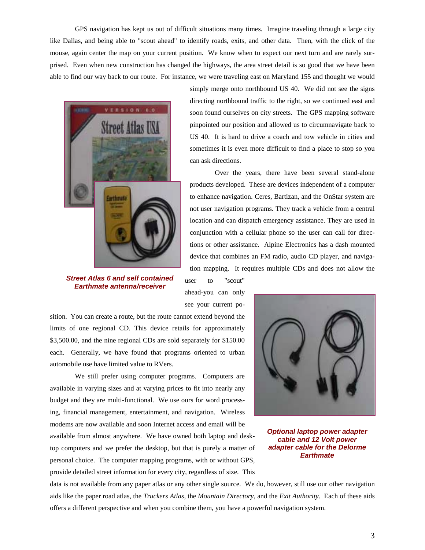GPS navigation has kept us out of difficult situations many times. Imagine traveling through a large city like Dallas, and being able to "scout ahead" to identify roads, exits, and other data. Then, with the click of the mouse, again center the map on your current position. We know when to expect our next turn and are rarely surprised. Even when new construction has changed the highways, the area street detail is so good that we have been able to find our way back to our route. For instance, we were traveling east on Maryland 155 and thought we would



*Street Atlas 6 and self contained Earthmate antenna/receiver*

simply merge onto northbound US 40. We did not see the signs directing northbound traffic to the right, so we continued east and soon found ourselves on city streets. The GPS mapping software pinpointed our position and allowed us to circumnavigate back to US 40. It is hard to drive a coach and tow vehicle in cities and sometimes it is even more difficult to find a place to stop so you can ask directions.

Over the years, there have been several stand-alone products developed. These are devices independent of a computer to enhance navigation. Ceres, Bartizan, and the OnStar system are not user navigation programs. They track a vehicle from a central location and can dispatch emergency assistance. They are used in conjunction with a cellular phone so the user can call for directions or other assistance. Alpine Electronics has a dash mounted device that combines an FM radio, audio CD player, and navigation mapping. It requires multiple CDs and does not allow the

user to "scout" ahead-you can only see your current po-

sition. You can create a route, but the route cannot extend beyond the limits of one regional CD. This device retails for approximately \$3,500.00, and the nine regional CDs are sold separately for \$150.00 each. Generally, we have found that programs oriented to urban automobile use have limited value to RVers.

We still prefer using computer programs. Computers are available in varying sizes and at varying prices to fit into nearly any budget and they are multi-functional. We use ours for word processing, financial management, entertainment, and navigation. Wireless modems are now available and soon Internet access and email will be available from almost anywhere. We have owned both laptop and desktop computers and we prefer the desktop, but that is purely a matter of personal choice. The computer mapping programs, with or without GPS, provide detailed street information for every city, regardless of size. This



*Optional laptop power adapter cable and 12 Volt power adapter cable for the Delorme Earthmate*

data is not available from any paper atlas or any other single source. We do, however, still use our other navigation aids like the paper road atlas, the *Truckers Atlas*, the *Mountain Directory*, and the *Exit Authority*. Each of these aids offers a different perspective and when you combine them, you have a powerful navigation system.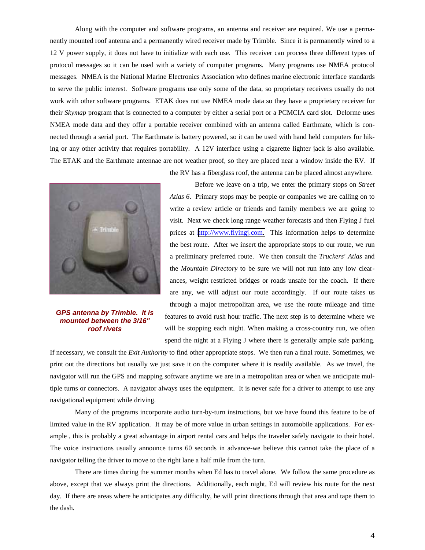Along with the computer and software programs, an antenna and receiver are required. We use a permanently mounted roof antenna and a permanently wired receiver made by Trimble. Since it is permanently wired to a 12 V power supply, it does not have to initialize with each use. This receiver can process three different types of protocol messages so it can be used with a variety of computer programs. Many programs use NMEA protocol messages. NMEA is the National Marine Electronics Association who defines marine electronic interface standards to serve the public interest. Software programs use only some of the data, so proprietary receivers usually do not work with other software programs. ETAK does not use NMEA mode data so they have a proprietary receiver for their *Skymap* program that is connected to a computer by either a serial port or a PCMCIA card slot. Delorme uses NMEA mode data and they offer a portable receiver combined with an antenna called Earthmate, which is connected through a serial port. The Earthmate is battery powered, so it can be used with hand held computers for hiking or any other activity that requires portability. A 12V interface using a cigarette lighter jack is also available. The ETAK and the Earthmate antennae are not weather proof, so they are placed near a window inside the RV. If



*GPS antenna by Trimble. It is mounted between the 3/16" roof rivets*

the RV has a fiberglass roof, the antenna can be placed almost anywhere. Before we leave on a trip, we enter the primary stops on *Street*

*Atlas 6*. Primary stops may be people or companies we are calling on to write a review article or friends and family members we are going to visit. Next we check long range weather forecasts and then Flying J fuel prices at [http://www.flyingj.com.](http://www.flyingj.com/) This information helps to determine the best route. After we insert the appropriate stops to our route, we run a preliminary preferred route. We then consult the *Truckers' Atlas* and the *Mountain Directory* to be sure we will not run into any low clearances, weight restricted bridges or roads unsafe for the coach. If there are any, we will adjust our route accordingly. If our route takes us through a major metropolitan area, we use the route mileage and time features to avoid rush hour traffic. The next step is to determine where we will be stopping each night. When making a cross-country run, we often spend the night at a Flying J where there is generally ample safe parking.

If necessary, we consult the *Exit Authority* to find other appropriate stops. We then run a final route. Sometimes, we print out the directions but usually we just save it on the computer where it is readily available. As we travel, the navigator will run the GPS and mapping software anytime we are in a metropolitan area or when we anticipate multiple turns or connectors. A navigator always uses the equipment. It is never safe for a driver to attempt to use any navigational equipment while driving.

Many of the programs incorporate audio turn-by-turn instructions, but we have found this feature to be of limited value in the RV application. It may be of more value in urban settings in automobile applications. For example , this is probably a great advantage in airport rental cars and helps the traveler safely navigate to their hotel. The voice instructions usually announce turns 60 seconds in advance-we believe this cannot take the place of a navigator telling the driver to move to the right lane a half mile from the turn.

There are times during the summer months when Ed has to travel alone. We follow the same procedure as above, except that we always print the directions. Additionally, each night, Ed will review his route for the next day. If there are areas where he anticipates any difficulty, he will print directions through that area and tape them to the dash.